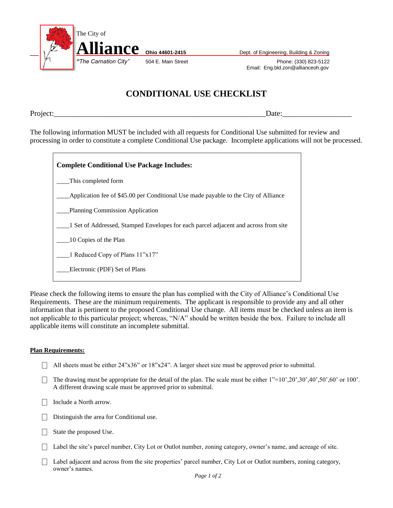

*Phone: (330) 823-5122* Email: Eng.bld.zon@allianceoh.gov

## **CONDITIONAL USE CHECKLIST**

Project:

The following information MUST be included with all requests for Conditional Use submitted for review and processing in order to constitute a complete Conditional Use package. Incomplete applications will not be processed.

| <b>Complete Conditional Use Package Includes:</b>                                   |
|-------------------------------------------------------------------------------------|
| This completed form                                                                 |
| Application fee of \$45.00 per Conditional Use made payable to the City of Alliance |
| Planning Commission Application                                                     |
| 1 Set of Addressed, Stamped Envelopes for each parcel adjacent and across from site |
| 10 Copies of the Plan                                                               |
| 1 Reduced Copy of Plans 11"x17"                                                     |
| Electronic (PDF) Set of Plans                                                       |
|                                                                                     |

Please check the following items to ensure the plan has complied with the City of Alliance's Conditional Use Requirements. These are the minimum requirements. The applicant is responsible to provide any and all other information that is pertinent to the proposed Conditional Use change. All items must be checked unless an item is not applicable to this particular project; whereas, "N/A" should be written beside the box. Failure to include all applicable items will constitute an incomplete submittal.

## **Plan Requirements:**

- $\Box$  All sheets must be either 24"x36" or 18"x24". A larger sheet size must be approved prior to submittal.
- The drawing must be appropriate for the detail of the plan. The scale must be either  $1"=10",20",30",40",50",60"$  or 100'. A different drawing scale must be approved prior to submittal.
- $\Box$  Include a North arrow.
- $\Box$  Distinguish the area for Conditional use.
- $\Box$  State the proposed Use.
- $\Box$  Label the site's parcel number, City Lot or Outlot number, zoning category, owner's name, and acreage of site.
- $\Box$  Label adjacent and across from the site properties' parcel number, City Lot or Outlot numbers, zoning category, owner's names.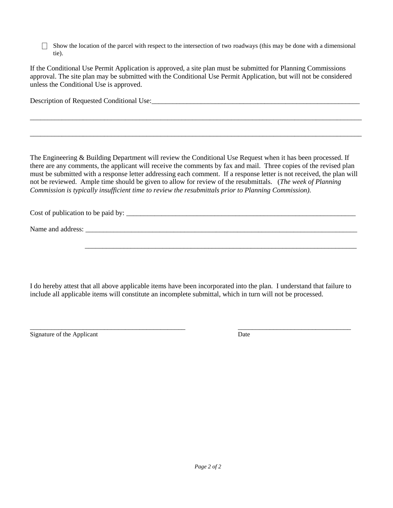$\Box$  Show the location of the parcel with respect to the intersection of two roadways (this may be done with a dimensional tie).

If the Conditional Use Permit Application is approved, a site plan must be submitted for Planning Commissions approval. The site plan may be submitted with the Conditional Use Permit Application, but will not be considered unless the Conditional Use is approved.

Description of Requested Conditional Use:

The Engineering & Building Department will review the Conditional Use Request when it has been processed. If there are any comments, the applicant will receive the comments by fax and mail. Three copies of the revised plan must be submitted with a response letter addressing each comment. If a response letter is not received, the plan will not be reviewed. Ample time should be given to allow for review of the resubmittals. (*The week of Planning Commission is typically insufficient time to review the resubmittals prior to Planning Commission).*

\_\_\_\_\_\_\_\_\_\_\_\_\_\_\_\_\_\_\_\_\_\_\_\_\_\_\_\_\_\_\_\_\_\_\_\_\_\_\_\_\_\_\_\_\_\_\_\_\_\_\_\_\_\_\_\_\_\_\_\_\_\_\_\_\_\_\_\_\_\_\_\_\_\_\_\_\_\_\_\_\_\_\_\_\_\_\_\_\_\_\_\_\_\_

\_\_\_\_\_\_\_\_\_\_\_\_\_\_\_\_\_\_\_\_\_\_\_\_\_\_\_\_\_\_\_\_\_\_\_\_\_\_\_\_\_\_\_\_\_\_\_\_\_\_\_\_\_\_\_\_\_\_\_\_\_\_\_\_\_\_\_\_\_\_\_\_\_\_\_\_\_\_\_\_\_\_\_\_\_\_\_\_\_\_\_\_\_\_

Cost of publication to be paid by:

Name and address:

\_\_\_\_\_\_\_\_\_\_\_\_\_\_\_\_\_\_\_\_\_\_\_\_\_\_\_\_\_\_\_\_\_\_\_\_\_\_\_\_\_\_\_\_\_\_\_\_\_\_\_\_\_\_\_\_\_\_\_\_\_\_\_\_\_\_\_\_\_\_\_\_\_\_\_\_\_

I do hereby attest that all above applicable items have been incorporated into the plan. I understand that failure to include all applicable items will constitute an incomplete submittal, which in turn will not be processed.

Signature of the Applicant Date

\_\_\_\_\_\_\_\_\_\_\_\_\_\_\_\_\_\_\_\_\_\_\_\_\_\_\_\_\_\_\_\_\_\_\_\_\_\_\_\_\_\_\_\_ \_\_\_\_\_\_\_\_\_\_\_\_\_\_\_\_\_\_\_\_\_\_\_\_\_\_\_\_\_\_\_\_